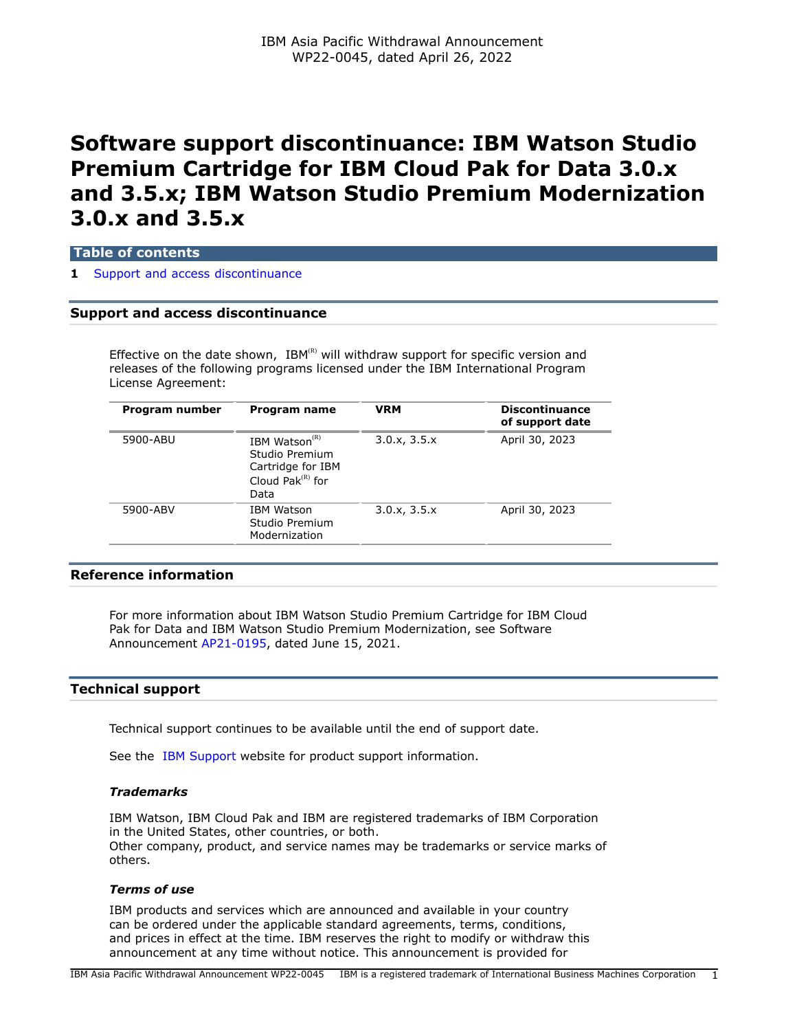# **Software support discontinuance: IBM Watson Studio Premium Cartridge for IBM Cloud Pak for Data 3.0.x and 3.5.x; IBM Watson Studio Premium Modernization 3.0.x and 3.5.x**

## **Table of contents**

### **1** [Support and access discontinuance](#page-0-0)

## <span id="page-0-0"></span>**Support and access discontinuance**

Effective on the date shown,  $IBM^{(R)}$  will withdraw support for specific version and releases of the following programs licensed under the IBM International Program License Agreement:

| Program number | Program name                                                                                       | <b>VRM</b>   | <b>Discontinuance</b><br>of support date |
|----------------|----------------------------------------------------------------------------------------------------|--------------|------------------------------------------|
| 5900-ABU       | IBM Watson <sup>(R)</sup><br>Studio Premium<br>Cartridge for IBM<br>Cloud Pak $^{(R)}$ for<br>Data | 3.0.x, 3.5.x | April 30, 2023                           |
| 5900-ABV       | <b>IBM Watson</b><br>Studio Premium<br>Modernization                                               | 3.0.x, 3.5.x | April 30, 2023                           |

### **Reference information**

For more information about IBM Watson Studio Premium Cartridge for IBM Cloud Pak for Data and IBM Watson Studio Premium Modernization, see Software Announcement [AP21-0195,](http://www.ibm.com/common/ssi/cgi-bin/ssialias?infotype=an&subtype=ca&appname=gpateam&supplier=872&letternum=ENUSAP21-0195) dated June 15, 2021.

## **Technical support**

Technical support continues to be available until the end of support date.

See the [IBM Support](https://www.ibm.com/support) website for product support information.

### *Trademarks*

IBM Watson, IBM Cloud Pak and IBM are registered trademarks of IBM Corporation in the United States, other countries, or both. Other company, product, and service names may be trademarks or service marks of others.

### *Terms of use*

IBM products and services which are announced and available in your country can be ordered under the applicable standard agreements, terms, conditions, and prices in effect at the time. IBM reserves the right to modify or withdraw this announcement at any time without notice. This announcement is provided for